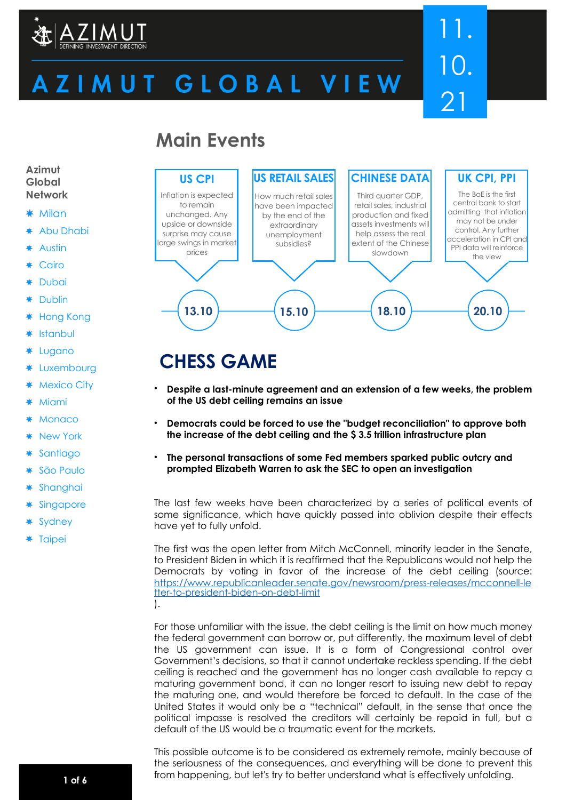

# ZIMUT GLOBAL VIEW

# 11. 10. 21

## **Main Events**



## **CHESS GAME**

- **Despite a last-minute agreement and an extension of a few weeks, the problem of the US debt ceiling remains an issue**
- **Democrats could be forced to use the "budget reconciliation" to approve both the increase of the debt ceiling and the \$ 3.5 trillion infrastructure plan**
- **The personal transactions of some Fed members sparked public outcry and prompted Elizabeth Warren to ask the SEC to open an investigation**

The last few weeks have been characterized by a series of political events of some significance, which have quickly passed into oblivion despite their effects have yet to fully unfold.

The first was the open letter from Mitch McConnell, minority leader in the Senate, to President Biden in which it is reaffirmed that the Republicans would not help the Democrats by voting in favor of the increase of the debt ceiling (source: [https://www.republicanleader.senate.gov/newsroom/press-releases/mcconnell-le](https://www.republicanleader.senate.gov/newsroom/press-releases/mcconnell-letter-to-president-biden-on-debt-limit) [tter-to-president-biden-on-debt-limit](https://www.republicanleader.senate.gov/newsroom/press-releases/mcconnell-letter-to-president-biden-on-debt-limit) ).

For those unfamiliar with the issue, the debt ceiling is the limit on how much money the federal government can borrow or, put differently, the maximum level of debt the US government can issue. It is a form of Congressional control over Government's decisions, so that it cannot undertake reckless spending. If the debt ceiling is reached and the government has no longer cash available to repay a maturing government bond, it can no longer resort to issuing new debt to repay the maturing one, and would therefore be forced to default. In the case of the United States it would only be a "technical" default, in the sense that once the political impasse is resolved the creditors will certainly be repaid in full, but a default of the US would be a traumatic event for the markets.

This possible outcome is to be considered as extremely remote, mainly because of the seriousness of the consequences, and everything will be done to prevent this from happening, but let's try to better understand what is effectively unfolding. **1 of 6**

**Azimut Global Network**

- $*$  Milan
- \* Abu Dhabi
- Austin
- Cairo
- **Dubai**
- Dublin
- Hong Kong ∗
- ∗ Istanbul
- ∗ Lugano
- \* Luxembourg
- **Mexico City**
- **Miami**
- **Monaco**
- New York
- **Santiago** ₩
- São Paulo
- ∗ Shanghai
- **Singapore**
- **Sydney**
- \* Taipei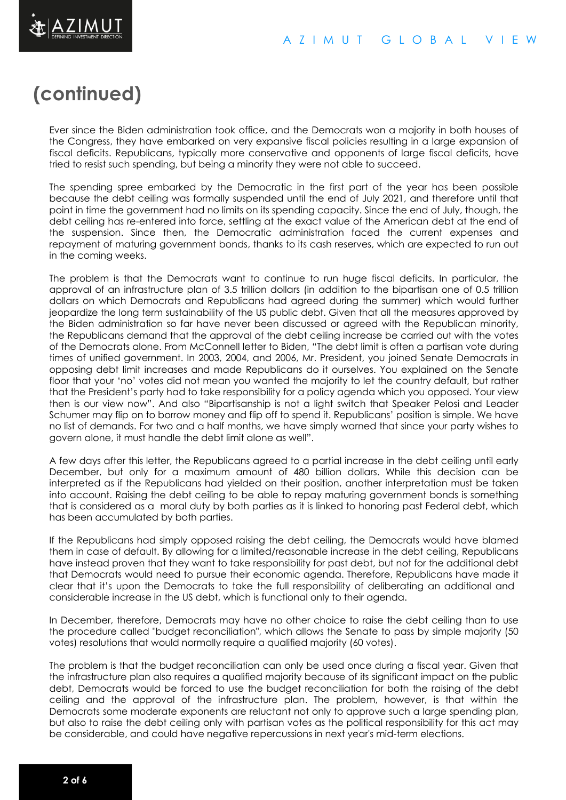

## **(continued)**

Ever since the Biden administration took office, and the Democrats won a majority in both houses of the Congress, they have embarked on very expansive fiscal policies resulting in a large expansion of fiscal deficits. Republicans, typically more conservative and opponents of large fiscal deficits, have tried to resist such spending, but being a minority they were not able to succeed.

The spending spree embarked by the Democratic in the first part of the year has been possible because the debt ceiling was formally suspended until the end of July 2021, and therefore until that point in time the government had no limits on its spending capacity. Since the end of July, though, the debt ceiling has re-entered into force, settling at the exact value of the American debt at the end of the suspension. Since then, the Democratic administration faced the current expenses and repayment of maturing government bonds, thanks to its cash reserves, which are expected to run out in the coming weeks.

The problem is that the Democrats want to continue to run huge fiscal deficits. In particular, the approval of an infrastructure plan of 3.5 trillion dollars (in addition to the bipartisan one of 0.5 trillion dollars on which Democrats and Republicans had agreed during the summer) which would further jeopardize the long term sustainability of the US public debt. Given that all the measures approved by the Biden administration so far have never been discussed or agreed with the Republican minority, the Republicans demand that the approval of the debt ceiling increase be carried out with the votes of the Democrats alone. From McConnell letter to Biden, "The debt limit is often a partisan vote during times of unified government. In 2003, 2004, and 2006, Mr. President, you joined Senate Democrats in opposing debt limit increases and made Republicans do it ourselves. You explained on the Senate floor that your 'no' votes did not mean you wanted the majority to let the country default, but rather that the President's party had to take responsibility for a policy agenda which you opposed. Your view then is our view now". And also "Bipartisanship is not a light switch that Speaker Pelosi and Leader Schumer may flip on to borrow money and flip off to spend it. Republicans' position is simple. We have no list of demands. For two and a half months, we have simply warned that since your party wishes to govern alone, it must handle the debt limit alone as well".

A few days after this letter, the Republicans agreed to a partial increase in the debt ceiling until early December, but only for a maximum amount of 480 billion dollars. While this decision can be interpreted as if the Republicans had yielded on their position, another interpretation must be taken into account. Raising the debt ceiling to be able to repay maturing government bonds is something that is considered as a moral duty by both parties as it is linked to honoring past Federal debt, which has been accumulated by both parties.

If the Republicans had simply opposed raising the debt ceiling, the Democrats would have blamed them in case of default. By allowing for a limited/reasonable increase in the debt ceiling, Republicans have instead proven that they want to take responsibility for past debt, but not for the additional debt that Democrats would need to pursue their economic agenda. Therefore, Republicans have made it clear that it's upon the Democrats to take the full responsibility of deliberating an additional and considerable increase in the US debt, which is functional only to their agenda.

In December, therefore, Democrats may have no other choice to raise the debt ceiling than to use the procedure called "budget reconciliation", which allows the Senate to pass by simple majority (50 votes) resolutions that would normally require a qualified majority (60 votes).

The problem is that the budget reconciliation can only be used once during a fiscal year. Given that the infrastructure plan also requires a qualified majority because of its significant impact on the public debt, Democrats would be forced to use the budget reconciliation for both the raising of the debt ceiling and the approval of the infrastructure plan. The problem, however, is that within the Democrats some moderate exponents are reluctant not only to approve such a large spending plan, but also to raise the debt ceiling only with partisan votes as the political responsibility for this act may be considerable, and could have negative repercussions in next year's mid-term elections.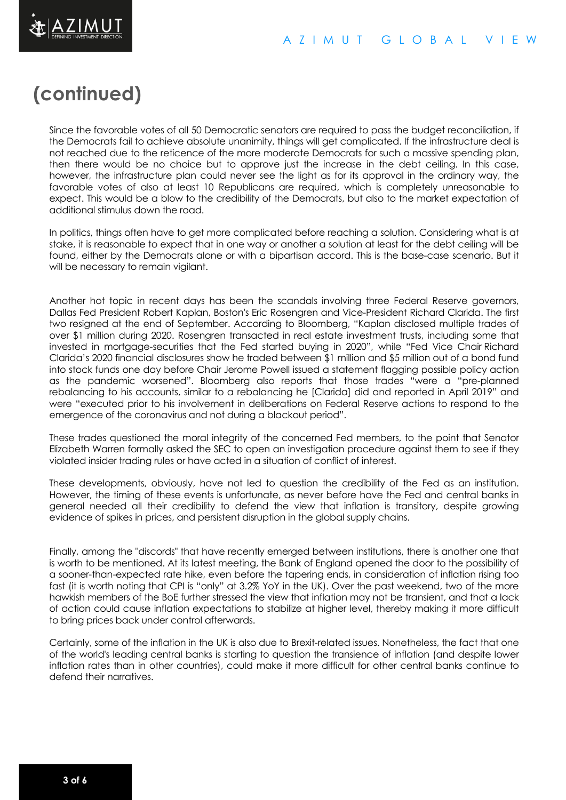

## **(continued)**

Since the favorable votes of all 50 Democratic senators are required to pass the budget reconciliation, if the Democrats fail to achieve absolute unanimity, things will get complicated. If the infrastructure deal is not reached due to the reticence of the more moderate Democrats for such a massive spending plan, then there would be no choice but to approve just the increase in the debt ceiling. In this case, however, the infrastructure plan could never see the light as for its approval in the ordinary way, the favorable votes of also at least 10 Republicans are required, which is completely unreasonable to expect. This would be a blow to the credibility of the Democrats, but also to the market expectation of additional stimulus down the road.

In politics, things often have to get more complicated before reaching a solution. Considering what is at stake, it is reasonable to expect that in one way or another a solution at least for the debt ceiling will be found, either by the Democrats alone or with a bipartisan accord. This is the base-case scenario. But it will be necessary to remain vigilant.

Another hot topic in recent days has been the scandals involving three Federal Reserve governors, Dallas Fed President Robert Kaplan, Boston's Eric Rosengren and Vice-President Richard Clarida. The first two resigned at the end of September. According to Bloomberg, "Kaplan disclosed multiple trades of over \$1 million during 2020. Rosengren transacted in real estate investment trusts, including some that invested in mortgage-securities that the Fed started buying in 2020", while "Fed Vice Chair Richard Clarida's 2020 financial disclosures show he traded between \$1 million and \$5 million out of a bond fund into stock funds one day before Chair Jerome Powell issued a statement flagging possible policy action as the pandemic worsened". Bloomberg also reports that those trades "were a "pre-planned rebalancing to his accounts, similar to a rebalancing he [Clarida] did and reported in April 2019" and were "executed prior to his involvement in deliberations on Federal Reserve actions to respond to the emergence of the coronavirus and not during a blackout period".

These trades questioned the moral integrity of the concerned Fed members, to the point that Senator Elizabeth Warren formally asked the SEC to open an investigation procedure against them to see if they violated insider trading rules or have acted in a situation of conflict of interest.

These developments, obviously, have not led to question the credibility of the Fed as an institution. However, the timing of these events is unfortunate, as never before have the Fed and central banks in general needed all their credibility to defend the view that inflation is transitory, despite growing evidence of spikes in prices, and persistent disruption in the global supply chains.

Finally, among the "discords" that have recently emerged between institutions, there is another one that is worth to be mentioned. At its latest meeting, the Bank of England opened the door to the possibility of a sooner-than-expected rate hike, even before the tapering ends, in consideration of inflation rising too fast (it is worth noting that CPI is "only" at 3.2% YoY in the UK). Over the past weekend, two of the more hawkish members of the BoE further stressed the view that inflation may not be transient, and that a lack of action could cause inflation expectations to stabilize at higher level, thereby making it more difficult to bring prices back under control afterwards.

Certainly, some of the inflation in the UK is also due to Brexit-related issues. Nonetheless, the fact that one of the world's leading central banks is starting to question the transience of inflation (and despite lower inflation rates than in other countries), could make it more difficult for other central banks continue to defend their narratives.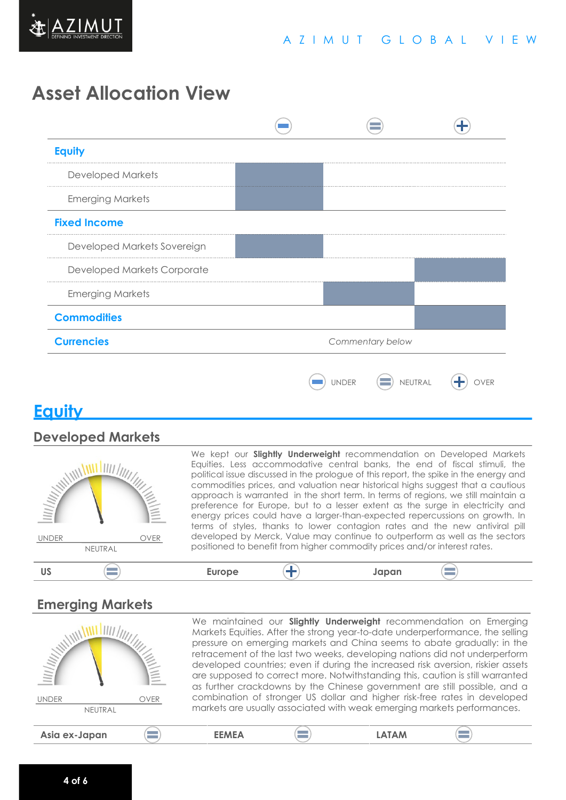

## **Asset Allocation View**



## **Equity**

### **Developed Markets**



We kept our **Slightly Underweight** recommendation on Developed Markets Equities. Less accommodative central banks, the end of fiscal stimuli, the political issue discussed in the prologue of this report, the spike in the energy and commodities prices, and valuation near historical highs suggest that a cautious approach is warranted in the short term. In terms of regions, we still maintain a preference for Europe, but to a lesser extent as the surge in electricity and energy prices could have a larger-than-expected repercussions on growth. In terms of styles, thanks to lower contagion rates and the new antiviral pill developed by Merck, Value may continue to outperform as well as the sectors positioned to benefit from higher commodity prices and/or interest rates.

#### $\equiv$ **US Europe Japan**

### **Emerging Markets**

| <u>Villing</u>              |              | We maintained our <b>Slightly Underweight</b> recommendation on Emerging<br>Markets Equities. After the strong year-to-date underperformance, the selling<br>pressure on emerging markets and China seems to abate gradually: in the<br>retracement of the last two weeks, developing nations did not underperform<br>developed countries; even if during the increased risk aversion, riskier assets<br>are supposed to correct more. Notwithstanding this, caution is still warranted<br>as further crackdowns by the Chinese government are still possible, and a |                                                                         |                                                                           |  |
|-----------------------------|--------------|----------------------------------------------------------------------------------------------------------------------------------------------------------------------------------------------------------------------------------------------------------------------------------------------------------------------------------------------------------------------------------------------------------------------------------------------------------------------------------------------------------------------------------------------------------------------|-------------------------------------------------------------------------|---------------------------------------------------------------------------|--|
| <b>UNDER</b><br><b>OVER</b> |              |                                                                                                                                                                                                                                                                                                                                                                                                                                                                                                                                                                      |                                                                         | combination of stronger US dollar and higher risk-free rates in developed |  |
| NEUTRAL                     |              |                                                                                                                                                                                                                                                                                                                                                                                                                                                                                                                                                                      | markets are usually associated with weak emerging markets performances. |                                                                           |  |
| Asia ex-Japan               | <b>FFMFA</b> |                                                                                                                                                                                                                                                                                                                                                                                                                                                                                                                                                                      | <b>LATAM</b>                                                            |                                                                           |  |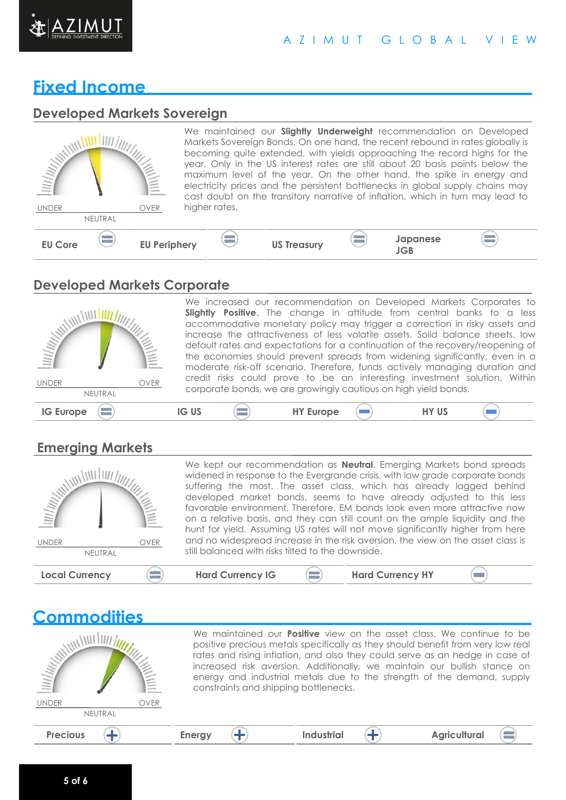

### A Z I M U T G L O B A L V I E W

## **Fixed Income**

### **Developed Markets Sovereign**

| <b>MINITARY AND READ POST</b><br><b>UNDER</b> | NEUTRAL | <b>OVER</b>         | higher rates. |                    |                          | We maintained our <b>Slightly Underweight</b> recommendation on Developed<br>Markets Sovereign Bonds. On one hand, the recent rebound in rates globally is<br>becoming quite extended, with yields approaching the record highs for the<br>year. Only in the US interest rates are still about 20 basis points below the<br>maximum level of the year. On the other hand, the spike in energy and<br>electricity prices and the persistent bottlenecks in global supply chains may<br>cast doubt on the transitory narrative of inflation, which in turn may lead to |                   |
|-----------------------------------------------|---------|---------------------|---------------|--------------------|--------------------------|----------------------------------------------------------------------------------------------------------------------------------------------------------------------------------------------------------------------------------------------------------------------------------------------------------------------------------------------------------------------------------------------------------------------------------------------------------------------------------------------------------------------------------------------------------------------|-------------------|
| <b>EU Core</b>                                |         | <b>EU Periphery</b> |               | <b>US Treasury</b> | $\overline{\phantom{a}}$ | Japanese<br>JGB                                                                                                                                                                                                                                                                                                                                                                                                                                                                                                                                                      | <b>STATISTICS</b> |

### **Developed Markets Corporate**



We increased our recommendation on Developed Markets Corporates to **Slightly Positive**. The change in attitude from central banks to a less accommodative monetary policy may trigger a correction in risky assets and increase the attractiveness of less volatile assets. Solid balance sheets, low default rates and expectations for a continuation of the recovery/reopening of the economies should prevent spreads from widening significantly, even in a moderate risk-off scenario. Therefore, funds actively managing duration and credit risks could prove to be an interesting investment solution. Within corporate bonds, we are growingly cautious on high yield bonds.

 $\qquad \qquad \Box$ 

## **Emerging Markets**

**Commodities**

| <b>MANAGEMENT</b><br><b>UNDER</b><br><b>OVER</b><br>NEUTRAL | We kept our recommendation as <b>Neutral</b> . Emerging Markets bond spreads<br>widened in response to the Evergrande crisis, with low grade corporate bonds<br>suffering the most. The asset class, which has already lagged behind<br>developed market bonds, seems to have already adjusted to this less<br>favorable environment. Therefore, EM bonds look even more attractive now<br>on a relative basis, and they can still count on the ample liquidity and the<br>hunt for yield. Assuming US rates will not move significantly higher from here<br>and no widespread increase in the risk aversion, the view on the asset class is<br>still balanced with risks tilted to the downside. |
|-------------------------------------------------------------|---------------------------------------------------------------------------------------------------------------------------------------------------------------------------------------------------------------------------------------------------------------------------------------------------------------------------------------------------------------------------------------------------------------------------------------------------------------------------------------------------------------------------------------------------------------------------------------------------------------------------------------------------------------------------------------------------|
| <b>Local Currency</b>                                       | <b>Hard Currency IG</b><br><b>Hard Currency HY</b>                                                                                                                                                                                                                                                                                                                                                                                                                                                                                                                                                                                                                                                |

| <u>Commundumed</u>          |                                                                                                                                                                                                                                                                                                                                                                                                                                                |
|-----------------------------|------------------------------------------------------------------------------------------------------------------------------------------------------------------------------------------------------------------------------------------------------------------------------------------------------------------------------------------------------------------------------------------------------------------------------------------------|
| <b>MATTER</b>               | We maintained our <b>Positive</b> view on the asset class. We continue to be<br>positive precious metals specifically as they should benefit from very low real<br>rates and rising inflation, and also they could serve as an hedge in case of<br>increased risk aversion. Additionally, we maintain our bullish stance on<br>energy and industrial metals due to the strength of the demand, supply<br>constraints and shipping bottlenecks. |
| <b>UNDER</b><br><b>OVER</b> |                                                                                                                                                                                                                                                                                                                                                                                                                                                |
| NEUTRAL                     |                                                                                                                                                                                                                                                                                                                                                                                                                                                |
| <b>Precious</b>             | <b>Industrial</b><br><b>Agricultural</b><br><b>Energy</b>                                                                                                                                                                                                                                                                                                                                                                                      |